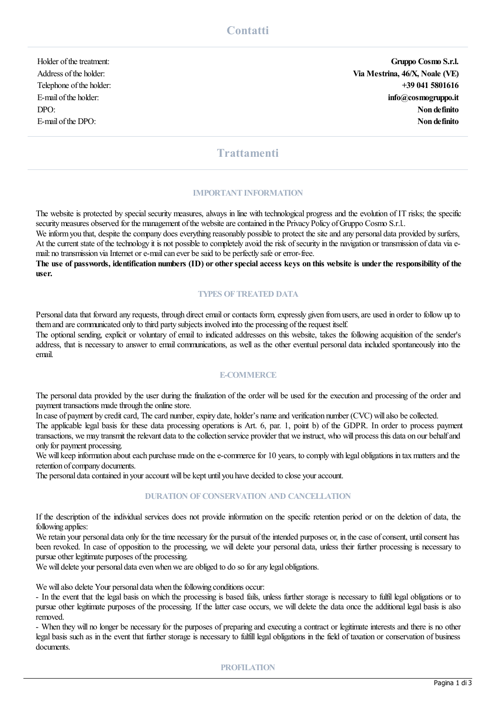Holder ofthetreatment: **Gruppo Cosmo S.r.l.** Address ofthe holder: **Via Mestrina, 46/X, Noale (VE)** Telephone ofthe holder: **+39 041 5801616** E-mail ofthe holder: **info@cosmogruppo.it** DPO: **Non definito** E-mail ofthe DPO: **Non definito**

# **Trattamenti**

#### **IMPORTANT INFORMATION**

The website is protected by special security measures, always in line with technological progress and the evolution of IT risks; the specific security measures observed for the management of the website are contained in the Privacy Policy of Gruppo Cosmo S.r.l..

We inform you that, despite the company does everything reasonably possible to protect the site and any personal data provided by surfers, At the current state of the technology it is not possible to completely avoid the risk of security in the navigation or transmission of data via email: no transmission via Internet or e-mail can ever be said to be perfectly safe or error-free.

The use of passwords, identification numbers (ID) or other special access keys on this website is under the responsibility of the **user.**

## **TYPES OFTREATED DATA**

Personal data that forward any requests, through direct email or contacts form, expressly given fromusers,are used in order to follow up to themand arecommunicated only to third party subjects involved into the processing oftherequest itself.

The optional sending, explicit or voluntary of email to indicated addresses on this website, takes the following acquisition of the sender's address, that is necessary to answer to emailcommunications, as wellas the other eventual personal data included spontaneously into the email.

## **E-COMMERCE**

The personal data provided by the user during the finalization of the order will be used for the execution and processing of the order and payment transactions made through the online store.

In case of payment by credit card, The card number, expiry date, holder's name and verification number (CVC) will also be collected.

The applicable legal basis for these data processing operations is Art. 6, par. 1, point b) of the GDPR. In order to process payment transactions, we may transmit the relevant data to the collection service provider that we instruct, who will process this data on our behalf and only for payment processing.

We will keep information about each purchase made on the e-commerce for 10 years, to comply with legal obligations in tax matters and the retention of company documents.

The personal data contained in your account will be kept until you have decided to close your account.

### **DURATION OF CONSERVATION AND CANCELLATION**

If the description of the individual services does not provide information on the specific retention period or on the deletion of data, the following applies:

We retain your personal data only for the time necessary for the pursuit of the intended purposes or, in the case of consent, until consent has been revoked. In case of opposition to the processing, we will delete your personal data, unless their further processing is necessary to pursue other legitimate purposes of the processing.

We will delete your personal data even when we are obliged to do so for any legal obligations.

We will also delete Your personal data when the following conditions occur:

- In the event that the legal basis on which the processing is based fails, unless further storage is necessary to fulfil legal obligations or to pursue other legitimate purposes of the processing. If the latter case occurs, we will delete the data once the additional legal basis is also removed.

- When they will no longer be necessary for the purposes of preparing and executing a contract or legitimate interests and there is no other legal basis such as in the event that further storage is necessary to fulfill legal obligations in the field of taxation or conservation of business documents.